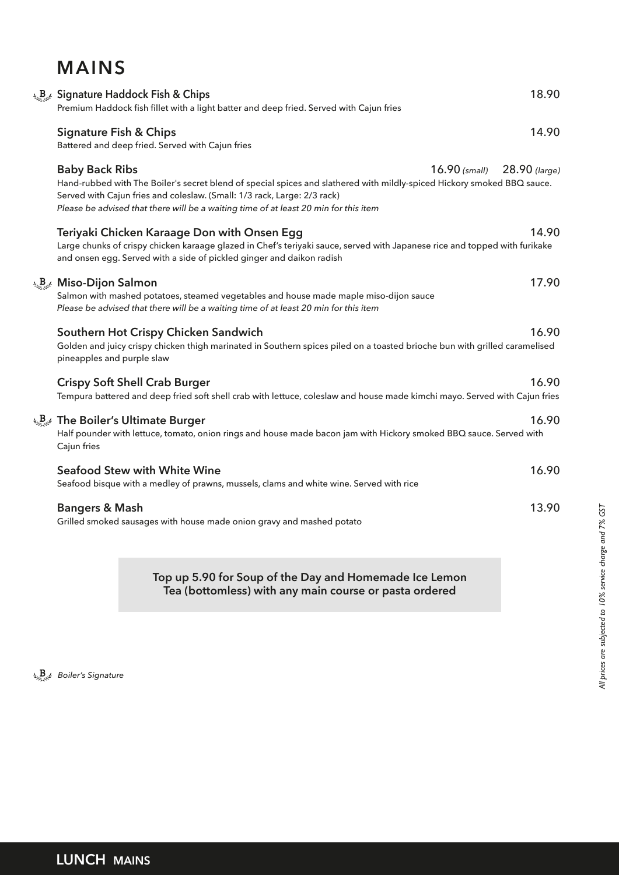## **MAINS**

| <b>A<sub>Bod</sub></b> Signature Haddock Fish & Chips<br>Premium Haddock fish fillet with a light batter and deep fried. Served with Cajun fries                                                                                                                                                                     |                 | 18.90           |
|----------------------------------------------------------------------------------------------------------------------------------------------------------------------------------------------------------------------------------------------------------------------------------------------------------------------|-----------------|-----------------|
| <b>Signature Fish &amp; Chips</b><br>Battered and deep fried. Served with Cajun fries                                                                                                                                                                                                                                |                 | 14.90           |
| <b>Baby Back Ribs</b><br>Hand-rubbed with The Boiler's secret blend of special spices and slathered with mildly-spiced Hickory smoked BBQ sauce.<br>Served with Cajun fries and coleslaw. (Small: 1/3 rack, Large: 2/3 rack)<br>Please be advised that there will be a waiting time of at least 20 min for this item | $16.90$ (small) | $28.90$ (large) |
| Teriyaki Chicken Karaage Don with Onsen Egg<br>Large chunks of crispy chicken karaage glazed in Chef's teriyaki sauce, served with Japanese rice and topped with furikake<br>and onsen egg. Served with a side of pickled ginger and daikon radish                                                                   |                 | 14.90           |
| $\mathcal{L}_{\mathcal{L}_{\alpha}^{\text{max}}}$ Miso-Dijon Salmon<br>Salmon with mashed potatoes, steamed vegetables and house made maple miso-dijon sauce<br>Please be advised that there will be a waiting time of at least 20 min for this item                                                                 |                 | 17.90           |
| Southern Hot Crispy Chicken Sandwich<br>Golden and juicy crispy chicken thigh marinated in Southern spices piled on a toasted brioche bun with grilled caramelised<br>pineapples and purple slaw                                                                                                                     |                 | 16.90           |
| <b>Crispy Soft Shell Crab Burger</b><br>Tempura battered and deep fried soft shell crab with lettuce, coleslaw and house made kimchi mayo. Served with Cajun fries                                                                                                                                                   |                 | 16.90           |
| $\mathcal{L}_{\mathcal{B},\mathcal{C}}$ The Boiler's Ultimate Burger<br>Half pounder with lettuce, tomato, onion rings and house made bacon jam with Hickory smoked BBQ sauce. Served with<br>Cajun fries                                                                                                            |                 | 16.90           |
| <b>Seafood Stew with White Wine</b><br>Seafood bisque with a medley of prawns, mussels, clams and white wine. Served with rice                                                                                                                                                                                       |                 | 16.90           |
| <b>Bangers &amp; Mash</b><br>Grilled smoked sausages with house made onion gravy and mashed potato                                                                                                                                                                                                                   |                 | 13.90           |

**Top up 5.90 for Soup of the Day and Homemade Ice Lemon Tea (bottomless) with any main course or pasta ordered**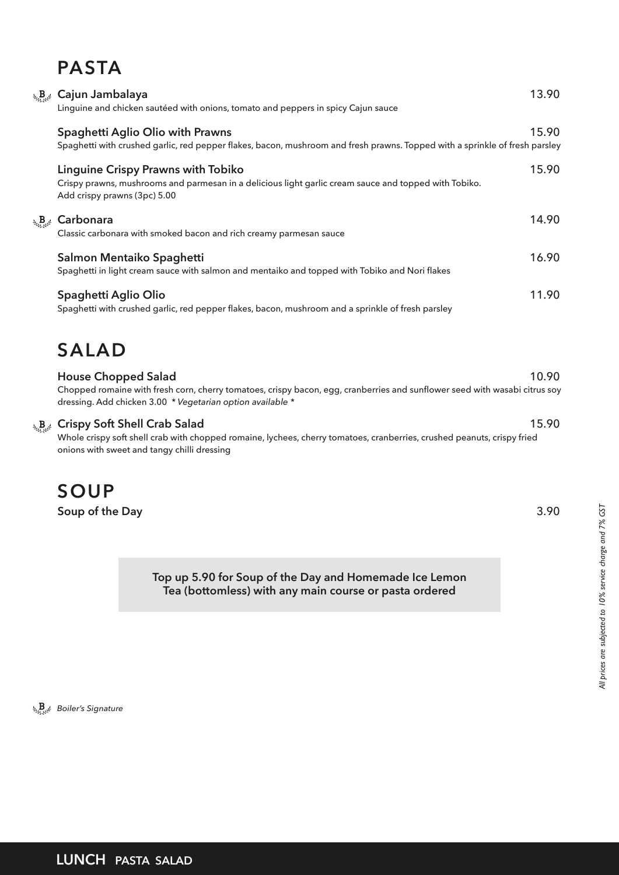# **PASTA**

|                       | <b>A.</b> B. Cajun Jambalaya<br>Linguine and chicken sautéed with onions, tomato and peppers in spicy Cajun sauce                                                                  | 13.90 |
|-----------------------|------------------------------------------------------------------------------------------------------------------------------------------------------------------------------------|-------|
|                       | Spaghetti Aglio Olio with Prawns<br>Spaghetti with crushed garlic, red pepper flakes, bacon, mushroom and fresh prawns. Topped with a sprinkle of fresh parsley                    | 15.90 |
|                       | <b>Linguine Crispy Prawns with Tobiko</b><br>Crispy prawns, mushrooms and parmesan in a delicious light garlic cream sauce and topped with Tobiko.<br>Add crispy prawns (3pc) 5.00 | 15.90 |
| $\mathbf{B}_{\mu\nu}$ | Carbonara<br>Classic carbonara with smoked bacon and rich creamy parmesan sauce                                                                                                    | 14.90 |
|                       | Salmon Mentaiko Spaghetti<br>Spaghetti in light cream sauce with salmon and mentaiko and topped with Tobiko and Nori flakes                                                        | 16.90 |
|                       | Spaghetti Aglio Olio<br>Spaghetti with crushed garlic, red pepper flakes, bacon, mushroom and a sprinkle of fresh parsley                                                          | 11.90 |
|                       |                                                                                                                                                                                    |       |

## **SALAD**

| <b>House Chopped Salad</b>                                                                                                 | 10.90 |
|----------------------------------------------------------------------------------------------------------------------------|-------|
| Chopped romaine with fresh corn, cherry tomatoes, crispy bacon, egg, cranberries and sunflower seed with wasabi citrus soy |       |
| dressing. Add chicken 3.00 * Vegetarian option available *                                                                 |       |
| <b>Crispy Soft Shell Crab Salad</b>                                                                                        | 15.90 |

Whole crispy soft shell crab with chopped romaine, lychees, cherry tomatoes, cranberries, crushed peanuts, crispy fried onions with sweet and tangy chilli dressing

## **SOUP**

 $\psi_{\Omega,\Omega} B$ 

**Soup of the Day** 3.90

**Top up 5.90 for Soup of the Day and Homemade Ice Lemon Tea (bottomless) with any main course or pasta ordered**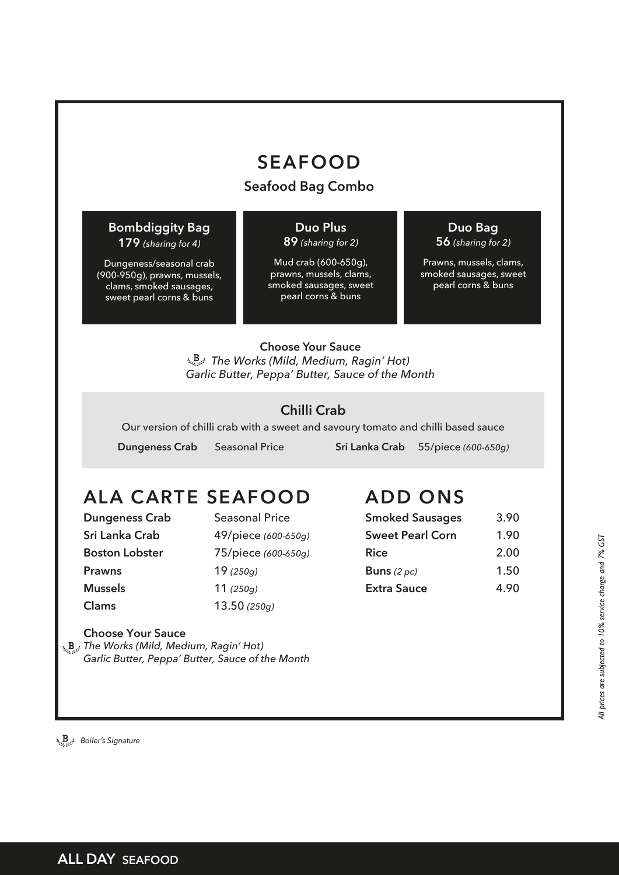## **SEAFOOD**

#### **Seafood Bag Combo**

#### **Bombdiggity Bag 179** *(sharing for 4)*

Dungeness/seasonal crab (900-950g), prawns, mussels, clams, smoked sausages, sweet pearl corns & buns

#### **Duo Plus**

#### **89** *(sharing for 2)*

Mud crab (600-650g), prawns, mussels, clams, smoked sausages, sweet pearl corns & buns

### **Duo Bag**

**56** *(sharing for 2)* 

Prawns, mussels, clams, smoked sausages, sweet pearl corns & buns

#### **Choose Your Sauce** *The Works (Mild, Medium, Ragin' Hot) Garlic Butter, Peppa' Butter, Sauce of the Month*

### **Chilli Crab**

Our version of chilli crab with a sweet and savoury tomato and chilli based sauce

 **Dungeness Crab** Seasonal Price **Sri Lanka Crab** 55/piece *(600-650g)*

# **ALA CARTE SEAFOOD**

**Prawns** 19 *(250g)* **Mussels** 11 *(250g)* **Clams** 13.50 *(250g)*

**Dungeness Crab** Seasonal Price **Sri Lanka Crab** 49/piece *(600-650g)* **Boston Lobster** 75/piece *(600-650g)*

# **ADD ONS**

| <b>Smoked Sausages</b>  | 3.90 |
|-------------------------|------|
| <b>Sweet Pearl Corn</b> | 1.90 |
| <b>Rice</b>             | 2.00 |
| Buns $(2 pc)$           | 1.50 |
| <b>Extra Sauce</b>      | 4.90 |
|                         |      |

**Choose Your Sauce** *The Works (Mild, Medium, Ragin' Hot) Garlic Butter, Peppa' Butter, Sauce of the Month*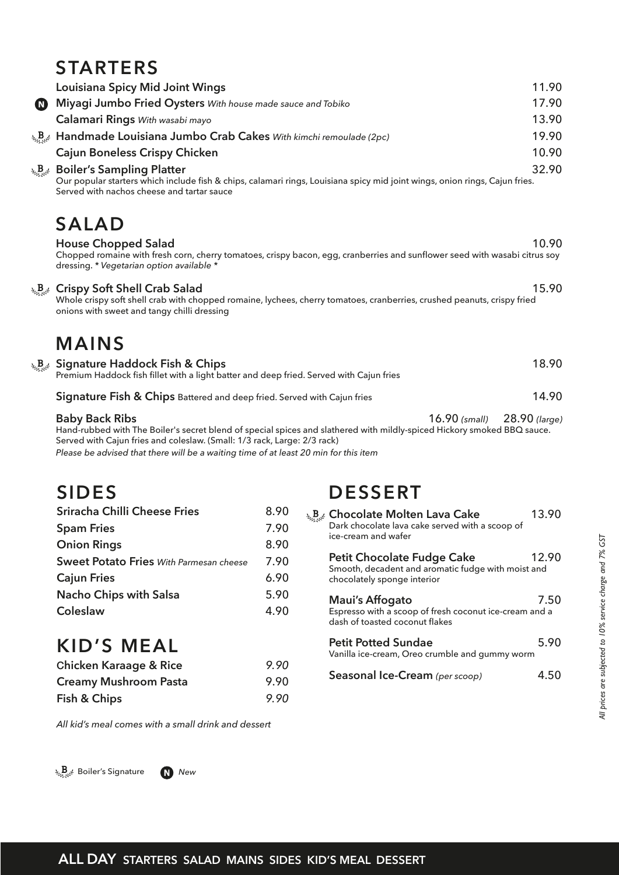### **STARTERS**

|                  | J I AR I FIJA                                                                                                                                                                                                                  |                 |
|------------------|--------------------------------------------------------------------------------------------------------------------------------------------------------------------------------------------------------------------------------|-----------------|
|                  | <b>Louisiana Spicy Mid Joint Wings</b>                                                                                                                                                                                         | 11.90           |
| $\mathbf \Omega$ | Miyagi Jumbo Fried Oysters With house made sauce and Tobiko                                                                                                                                                                    | 17.90           |
|                  | Calamari Rings With wasabi mayo                                                                                                                                                                                                | 13.90           |
|                  | $\lambda_{\rm B}$ Handmade Louisiana Jumbo Crab Cakes With kimchi remoulade (2pc)                                                                                                                                              | 19.90           |
|                  | <b>Cajun Boneless Crispy Chicken</b>                                                                                                                                                                                           | 10.90           |
|                  | <b>A<sub>Back</sub></b> Boiler's Sampling Platter<br>Our popular starters which include fish & chips, calamari rings, Louisiana spicy mid joint wings, onion rings, Cajun fries.<br>Served with nachos cheese and tartar sauce | 32.90           |
|                  | <b>SALAD</b>                                                                                                                                                                                                                   |                 |
|                  | <b>House Chopped Salad</b><br>Chopped romaine with fresh corn, cherry tomatoes, crispy bacon, egg, cranberries and sunflower seed with wasabi citrus soy<br>dressing. * Vegetarian option available *                          | 10.90           |
|                  | <b>A<sub>Best</sub></b> Crispy Soft Shell Crab Salad<br>Whole crispy soft shell crab with chopped romaine, lychees, cherry tomatoes, cranberries, crushed peanuts, crispy fried<br>onions with sweet and tangy chilli dressing | 15.90           |
|                  | <b>MAINS</b>                                                                                                                                                                                                                   |                 |
|                  | <b>A<sub>SM</sub>B</b> <sub>s</sub> <sup>2</sup> Signature Haddock Fish & Chips<br>Premium Haddock fish fillet with a light batter and deep fried. Served with Cajun fries                                                     | 18.90           |
|                  | Signature Fish & Chips Battered and deep fried. Served with Cajun fries                                                                                                                                                        | 14.90           |
|                  | <b>Baby Back Ribs</b><br>$16.90$ (small)<br>Hand-rubbed with The Boiler's secret blend of special spices and slathered with mildly-spiced Hickory smoked BBQ sauce.                                                            | $28.90$ (large) |

Served with Cajun fries and coleslaw. (Small: 1/3 rack, Large: 2/3 rack) *Please be advised that there will be a waiting time of at least 20 min for this item*

# **SIDES**

| Sriracha Chilli Cheese Fries                   | 8.90 |
|------------------------------------------------|------|
| <b>Spam Fries</b>                              | 7.90 |
| <b>Onion Rings</b>                             | 8.90 |
| <b>Sweet Potato Fries</b> With Parmesan cheese | 7.90 |
| <b>Cajun Fries</b>                             | 6.90 |
| <b>Nacho Chips with Salsa</b>                  | 5.90 |
| Coleslaw                                       | 4.90 |
|                                                |      |

# **DESSERT**

| يپ <sup>1</sup> Chocolate Molten Lava Cake<br>Dark chocolate lava cake served with a scoop of<br>ice-cream and wafer   | 13.90 |
|------------------------------------------------------------------------------------------------------------------------|-------|
| <b>Petit Chocolate Fudge Cake</b><br>Smooth, decadent and aromatic fudge with moist and<br>chocolately sponge interior | 12.90 |
| Maui's Affogato<br>Espresso with a scoop of fresh coconut ice-cream and a<br>dash of toasted coconut flakes            | 7.50  |
| <b>Petit Potted Sundae</b><br>Vanilla ice-cream, Oreo crumble and gummy worm                                           | 5.90  |
| Seasonal Ice-Cream (per scoop)                                                                                         |       |

# **KID'S MEAL**

| <b>Chicken Karaage &amp; Rice</b> | 9.90 |
|-----------------------------------|------|
| <b>Creamy Mushroom Pasta</b>      | 9.90 |
| Fish & Chips                      | 9.90 |

*All kid's meal comes with a small drink and dessert*

**Boiler's Signature New**